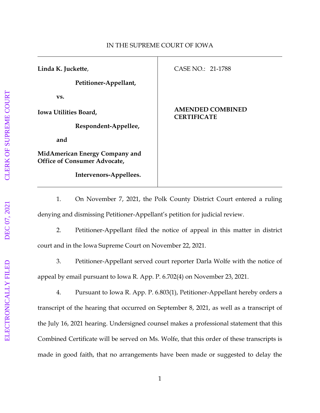| Linda K. Juckette,<br>Petitioner-Appellant,                           | CASE NO.: 21-1788                             |
|-----------------------------------------------------------------------|-----------------------------------------------|
| VS.                                                                   |                                               |
| Iowa Utilities Board,                                                 | <b>AMENDED COMBINED</b><br><b>CERTIFICATE</b> |
| Respondent-Appellee,                                                  |                                               |
| and                                                                   |                                               |
| MidAmerican Energy Company and<br><b>Office of Consumer Advocate,</b> |                                               |
| Intervenors-Appellees.                                                |                                               |

1. On November 7, 2021, the Polk County District Court entered a ruling denying and dismissing Petitioner-Appellant's petition for judicial review.

2. Petitioner-Appellant filed the notice of appeal in this matter in district court and in the Iowa Supreme Court on November 22, 2021.

3. Petitioner-Appellant served court reporter Darla Wolfe with the notice of appeal by email pursuant to Iowa R. App. P. 6.702(4) on November 23, 2021.

4. Pursuant to Iowa R. App. P. 6.803(1), Petitioner-Appellant hereby orders a transcript of the hearing that occurred on September 8, 2021, as well as a transcript of the July 16, 2021 hearing. Undersigned counsel makes a professional statement that this Combined Certificate will be served on Ms. Wolfe, that this order of these transcripts is made in good faith, that no arrangements have been made or suggested to delay the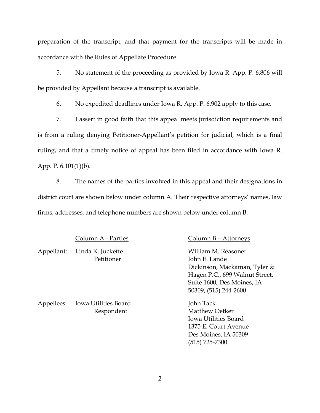preparation of the transcript, and that payment for the transcripts will be made in accordance with the Rules of Appellate Procedure.

5. No statement of the proceeding as provided by Iowa R. App. P. 6.806 will be provided by Appellant because a transcript is available.

6. No expedited deadlines under Iowa R. App. P. 6.902 apply to this case.

7. I assert in good faith that this appeal meets jurisdiction requirements and is from a ruling denying Petitioner-Appellant's petition for judicial, which is a final ruling, and that a timely notice of appeal has been filed in accordance with Iowa R. App. P. 6.101(1)(b).

8. The names of the parties involved in this appeal and their designations in district court are shown below under column A. Their respective attorneys' names, law firms, addresses, and telephone numbers are shown below under column B:

Appellant: Linda K. Juckette William M. Reasoner

Appellees: Iowa Utilities Board John Tack

## Column A - Parties Column B – Attorneys

Petitioner John E. Lande Dickinson, Mackaman, Tyler & Hagen P.C., 699 Walnut Street, Suite 1600, Des Moines, IA 50309, (515) 244-2600

Respondent Matthew Oetker Iowa Utilities Board 1375 E. Court Avenue Des Moines, IA 50309 (515) 725-7300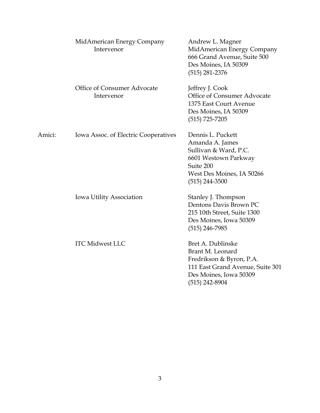|                          | MidAmerican Energy Company<br>Intervenor                                                                                   | Andrew L. Magner<br>MidAmerican Energy Company<br>666 Grand Avenue, Suite 500<br>Des Moines, IA 50309<br>$(515)$ 281-2376                           |
|--------------------------|----------------------------------------------------------------------------------------------------------------------------|-----------------------------------------------------------------------------------------------------------------------------------------------------|
|                          | Office of Consumer Advocate<br>Intervenor                                                                                  | Jeffrey J. Cook<br>Office of Consumer Advocate<br>1375 East Court Avenue<br>Des Moines, IA 50309<br>$(515)$ 725-7205                                |
| Amici:                   | Iowa Assoc. of Electric Cooperatives                                                                                       | Dennis L. Puckett<br>Amanda A. James<br>Sullivan & Ward, P.C.<br>6601 Westown Parkway<br>Suite 200<br>West Des Moines, IA 50266<br>$(515)$ 244-3500 |
| Iowa Utility Association | Stanley J. Thompson<br>Dentons Davis Brown PC<br>215 10th Street, Suite 1300<br>Des Moines, Iowa 50309<br>$(515)$ 246-7985 |                                                                                                                                                     |
|                          | <b>ITC Midwest LLC</b>                                                                                                     | Bret A. Dublinske<br>Brant M. Leonard<br>Fredrikson & Byron, P.A.<br>111 East Grand Avenue, Suite 301<br>Des Moines, Iowa 50309<br>$(515)$ 242-8904 |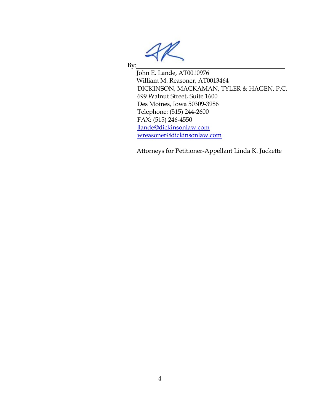By:

John E. Lande, AT0010976 William M. Reasoner, AT0013464 DICKINSON, MACKAMAN, TYLER & HAGEN, P.C. 699 Walnut Street, Suite 1600 Des Moines, Iowa 50309-3986 Telephone: (515) 244-2600 FAX: (515) 246-4550 [jlande@dickinsonlaw.com](mailto:jlande@dickinsonlaw.com) [wreasoner@dickinsonlaw.com](mailto:wreasoner@dickinsonlaw.com)

Attorneys for Petitioner-Appellant Linda K. Juckette